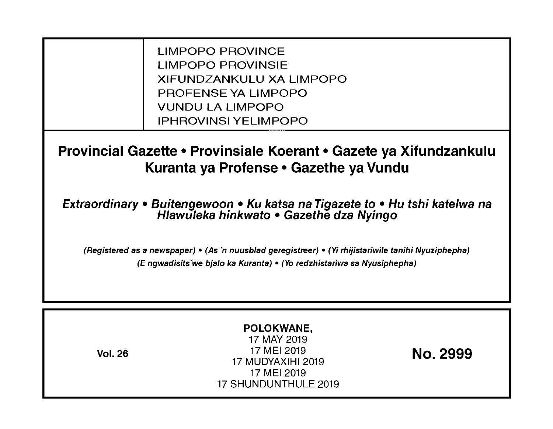LIMPOPO PROVINCE LIMPOPO PROVINSIE XIFUNDZANKULU XA LIMPOPO PROFENSE YA LIMPOPO VUNDU LA LIMPOPO IPHROVINSI YELIMPOPO

**Provincial Gazette • Provinsiale Koerant • Gazete ya Xifundzankulu Kuranta ya Profense • Gazethe ya Vundu** 

**Extraordinary • Buitengewoon • Ku katsa na Tigazete to • Hu tshi katelwa na Hlawuleka hinkwato • Gazethe dza Nyingo** 

(Registered as a newspaper) • (As 'n nuusblad geregistreer) • (Yi rhijistariwile tanihi Nyuziphepha) (E ngwadisitsVwe bjalo ka Kuranta) • (Yo redzhistariwa sa Nyusiphepha)

| POLOKWANE,<br>17 MAY 2019<br>17 MEI 2019<br>No. 2999<br><b>Vol. 26</b><br>17 MUDYAXIHI 2019<br>17 MEI 2019<br>17 SHUNDUNTHULE 2019 |
|------------------------------------------------------------------------------------------------------------------------------------|
|------------------------------------------------------------------------------------------------------------------------------------|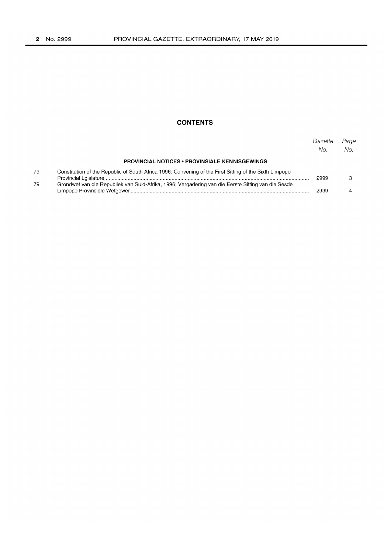#### **CONTENTS**

|    |                                                                                                        | Gazette<br>No. | Page<br>No. |
|----|--------------------------------------------------------------------------------------------------------|----------------|-------------|
|    | <b>PROVINCIAL NOTICES • PROVINSIALE KENNISGEWINGS</b>                                                  |                |             |
| 79 | Constitution of the Republic of South Africa 1996: Convening of the First Sitting of the Sixth Limpopo | 2999           |             |
| 79 | Grondwet van die Republiek van Suid-Afrika, 1996: Vergadering van die Eerste Sitting van die Sesde     | 2999           |             |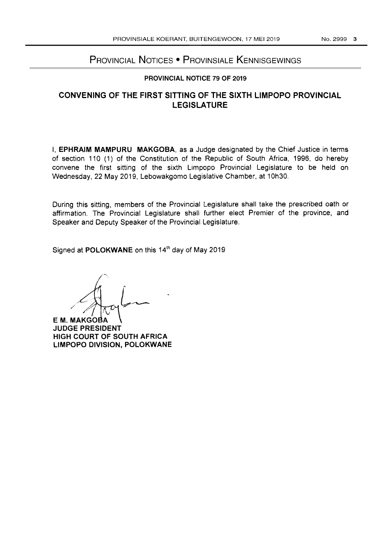# PROVINCIAL NOTICES • PROVINSIALE KENNISGEWINGS

#### PROVINCIAL NOTICE 79 OF 2019

## CONVENING OF THE FIRST SITTING OF THE SIXTH LIMPOPO PROVINCIAL LEGISLATURE

I, EPHRAIM MAMPURU MAKGOBA, as a Judge designated by the Chief Justice in terms of section 110 (1) of the Constitution of the Republic of South Africa, 1996, do hereby convene the first sitting of the sixth Limpopo Provincial Legislature to be held on Wednesday, 22 May 2019, Lebowakgomo Legislative Chamber, at 10h30.

During this sitting, members of the Provincial Legislature shall take the prescribed oath or affirmation. The Provincial Legislature shall further elect Premier of the province, and Speaker and Deputy Speaker of the Provincial Legislature.

Signed at POLOKWANE on this 14<sup>th</sup> day of May 2019

*/ /'j* ~ 1 L~

E M. MAKGOBA JUDGE PRESIDENT HIGH COURT OF SOUTH AFRICA LIMPOPO DIVISION, POLOKWANE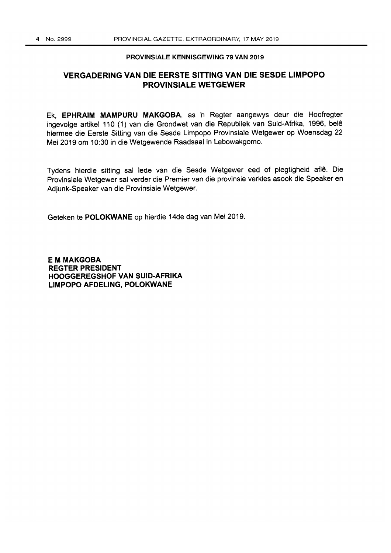#### PROVINSIALE KENNISGEWING 79 VAN 2019

#### **VERGADERING VAN DIE EERSTE SITTING VAN DIE SESDE LIMPOPO PROVINSIALE WETGEWER**

Ek, **EPHRAIM MAMPURU MAKGOBA,** as 'n Regter aangewys deur die Hoofregter ingevolge artikel 110 (1) van die Grondwet van die Republiek van Suid-Afrika, 1996, bele hiermee die Eerste Sitting van die Sesde Limpopo Provinsiale Wetgewer op Woensdag 22 Mei 2019 om 10:30 in die Wetgewende Raadsaal in Lebowakgomo.

Tydens hierdie sitting sal lede van die Sesde Wetgewer eed of plegtigheid afle. Die Provinsiale Wetgewer sal verder die Premier van die provinsie verkies asook die Speaker en Adjunk-Speaker van die Provinsiale Wetgewer.

Geteken te **POLOKWANE** op hierdie 14de dag van Mei 2019.

**EM MAKGOBA REGTER PRESIDENT HOOGGEREGSHOF VAN SUID-AFRIKA LIMPOPO AFDELlNG, POLOKWANE**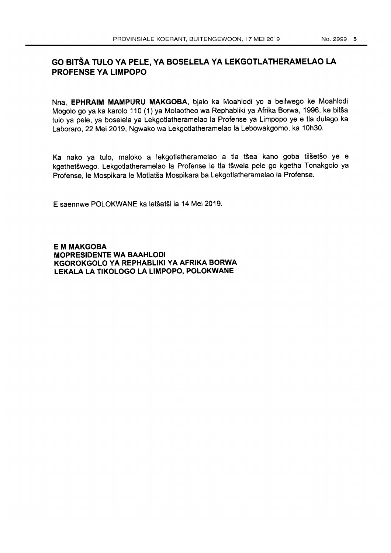# **GO BITSA TUlO VA PElE, VA BOSElElA VA lEKGOTlATHERAMElAO LA PROFENSE YA LIMPOPO**

Nna, **EPHRAIM MAMPURU MAKGOBA,** bjalo ka Moahlodi yo a beilwego ke Moahlodi Mogolo go ya ka karolo 110 (1) ya Molaotheo wa Rephabliki ya Afrika Borwa, 1996, ke bitsa tulo ya pele, ya boselela ya Lekgotlatheramelao la Profense ya Limpopo ye e tla dulago ka Laboraro, 22 Mei 2019, Ngwako wa Lekgotlatheramelao la Lebowakgomo, ka 10h30.

Ka nako ya tulo, maloko a lekgotlatheramelao a tla tšea kano goba tiišetšo ye e kgethetšwego. Lekgotlatheramelao la Profense le tla tšwela pele go kgetha Tonakgolo ya Profense, Ie Mospikara Ie Motlatsa Mospikara ba Lekgotlatheramelao la Profense.

E saennwe POLOKWANE ka letsatsi la 14 Mei 2019.

**EM MAKGOBA MOPRESIDENTE WA BAAHLODI KGOROKGOLO VA REPHABLIKI VA AFRIKA BORWA LEKALA LA TIKOLOGO LA LIMPOPO, POLOKWANE**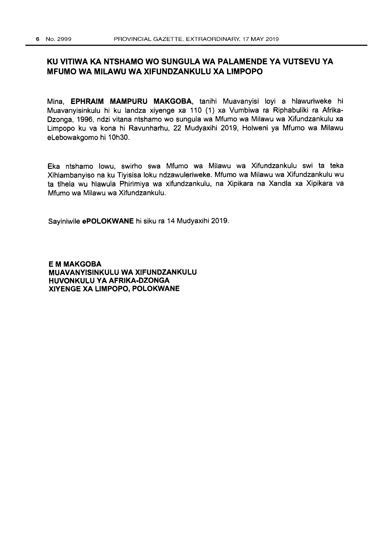### **KU VITIWA KA NTSHAMO WO SUNGULA WA PALAMENDE YA VUTSEVU YA MFUMO WA MILAWU WA XIFUNDZANKULU XA LIMPOPO**

Mina, **EPHRAIM MAMPURU MAKGOBA,** tanihi Muavanyisi loyi a hlawuriweke hi Muavanyisinkulu hi ku landza xiyenge xa 110 (1) xa Vumbiwa ra Riphabuliki ra Afrika-Dzonga, 1996, ndzi vitana ntshamo wo sungula wa Mfumo wa Milawu wa Xifundzankulu xa Limpopo ku va kona hi Ravunharhu, 22 Mudyaxihi 2019, Holweni ya Mfumo wa Milawu eLebowakgomo hi 10h30.

Eka ntshamo lowu, swirho swa Mfumo wa Milawu wa Xifundzankulu swi ta teka Xihlambanyiso na ku Tiyisisa loku ndzawuleriweke. Mfumo wa Milawu wa Xifundzankulu wu ta tlhela wu hlawula Phirimiya wa xifundzankulu, na Xipikara na Xandla xa Xipikara va Mfumo wa Milawu wa Xifundzankulu.

Sayiniwile **ePOLOKWANE** hi siku ra 14 Mudyaxihi 2019.

**EMMAKGOBA MUAVANVISINKULU WA XIFUNDZANKULU HUVONKULU VA AFRIKA·DZONGA XIVENGE XA LIMPOPO, POLOKWANE**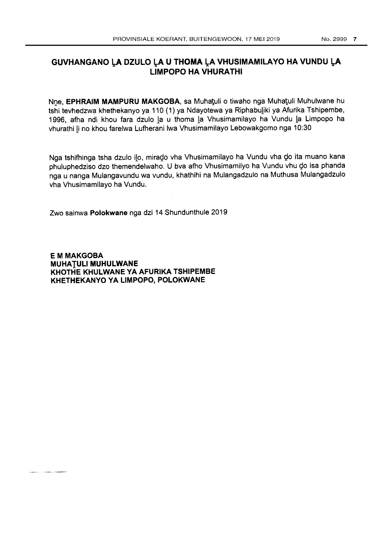# **GUVHANGANO LA DZULO LA U THOMA LA VHUSIMAMILAYO HA VUNDU LA LIMPOPO HA VHURATHI**

Nne, EPHRAIM MAMPURU MAKGOBA, sa Muhatuli o tiwaho nga Muhatuli Muhulwane hu tshi tevhedzwa khethekanyo ya 110 (1) ya Ndayotewa ya Riphabuliki ya Afurika Tshipembe, 1996, afha ndi khou fara dzulo 1a u thoma 1a Vhusimamilayo ha Vundu 1a Limpopo ha vhurathi Ii no khou farelwa Lufherani Iwa Vhusimamilayo Lebowakgomo nga 10:30

Nga tshifhinga tsha dzulo ilo, mirado vha Vhusimamilayo ha Vundu vha do ita muano kana phuluphedziso dzo themendelwaho. U bva afho Vhusimamilyo ha Vundu vhu do isa phanda nga u nanga Mulangavundu wa vundu, khathihi na Mulangadzulo na Muthusa Mulangadzulo vha Vhusimamilayo ha Vundu.

Zwo sainwa **Polokwane** nga dzi 14 Shundunthule 2019

**EM MAKGOBA MUHATULI MUHULWANE KHOTHE KHULWANE YA AFURIKA TSHIPEMBE KHETHEKANYO YA LIMPOPO, POLOKWANE**